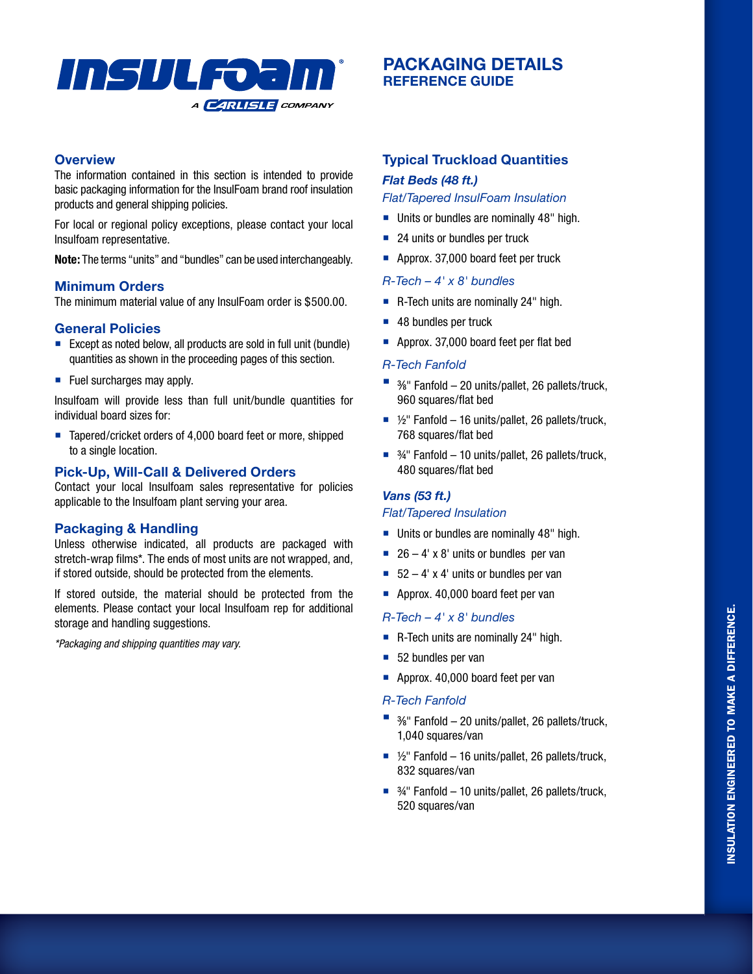

# **PACKAGING DETAILS REFERENCE GUIDE**

#### **Overview**

The information contained in this section is intended to provide basic packaging information for the InsulFoam brand roof insulation products and general shipping policies.

For local or regional policy exceptions, please contact your local Insulfoam representative.

**Note:** The terms "units" and "bundles" can be used interchangeably.

## **Minimum Orders**

The minimum material value of any InsulFoam order is \$500.00.

## **General Policies**

- Except as noted below, all products are sold in full unit (bundle) quantities as shown in the proceeding pages of this section.
- $\blacksquare$  Fuel surcharges may apply.

Insulfoam will provide less than full unit/bundle quantities for individual board sizes for:

■ Tapered/cricket orders of 4,000 board feet or more, shipped to a single location.

## **Pick-Up, Will-Call & Delivered Orders**

Contact your local Insulfoam sales representative for policies applicable to the Insulfoam plant serving your area.

## **Packaging & Handling**

Unless otherwise indicated, all products are packaged with stretch-wrap films\*. The ends of most units are not wrapped, and, if stored outside, should be protected from the elements.

If stored outside, the material should be protected from the elements. Please contact your local Insulfoam rep for additional storage and handling suggestions.

*\*Packaging and shipping quantities may vary.*

## **Typical Truckload Quantities**

## *Flat Beds (48 ft.)*

*Flat/Tapered InsulFoam Insulation*

- Units or bundles are nominally 48" high.
- 24 units or bundles per truck
- Approx. 37,000 board feet per truck

#### *R-Tech – 4' x 8' bundles*

- R-Tech units are nominally 24" high.
- 48 bundles per truck
- $\blacksquare$  Approx. 37,000 board feet per flat bed

## *R-Tech Fanfold*

- $\blacksquare$  3/8" Fanfold 20 units/pallet, 26 pallets/truck, 960 squares/flat bed
- $\frac{1}{2}$ " Fanfold 16 units/pallet, 26 pallets/truck, 768 squares/flat bed
- $\frac{3}{4}$ " Fanfold 10 units/pallet, 26 pallets/truck, 480 squares/flat bed

#### *Vans (53 ft.)*

#### *Flat/Tapered Insulation*

- Units or bundles are nominally 48" high.
- $\overline{26} 4'$  x 8' units or bundles per van
- $\overline{52} 4'$  x 4' units or bundles per van
- Approx. 40,000 board feet per van

#### *R-Tech – 4' x 8' bundles*

- R-Tech units are nominally 24" high.
- 52 bundles per van
- Approx. 40,000 board feet per van
- *R-Tech Fanfold*
- $\blacksquare$  3/8" Fanfold 20 units/pallet, 26 pallets/truck, 1,040 squares/van
- $\frac{1}{2}$ " Fanfold 16 units/pallet, 26 pallets/truck, 832 squares/van
- $\frac{3}{4}$ " Fanfold 10 units/pallet, 26 pallets/truck, 520 squares/van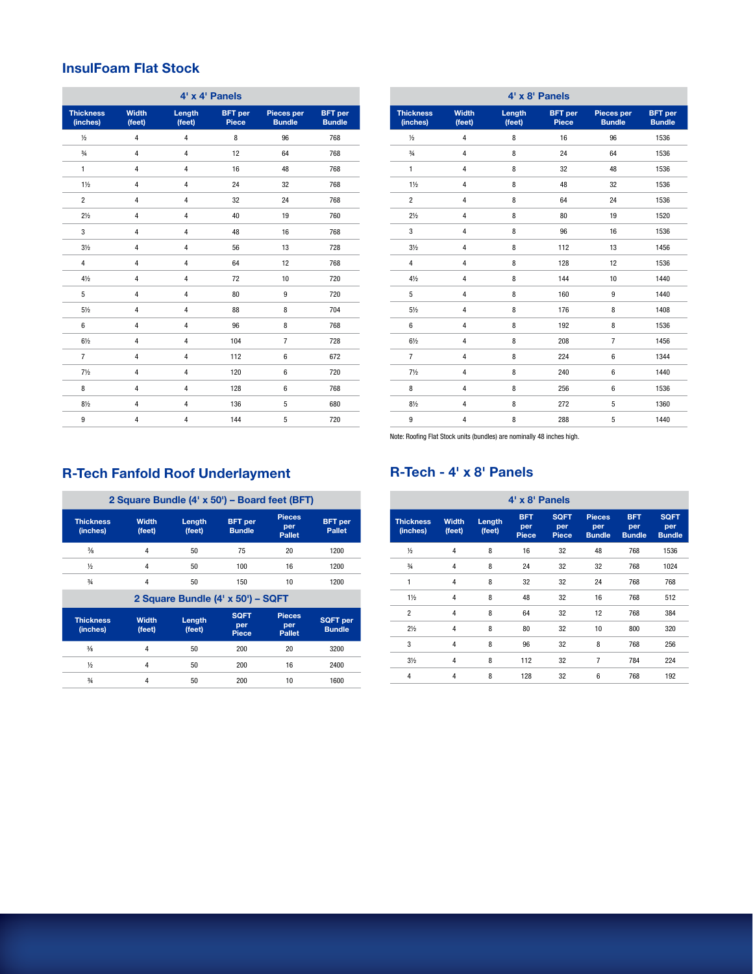## **InsulFoam Flat Stock**

| 4' x 4' Panels               |                        |                  |                                |                             |                                 |
|------------------------------|------------------------|------------------|--------------------------------|-----------------------------|---------------------------------|
| <b>Thickness</b><br>(inches) | <b>Width</b><br>(feet) | Length<br>(feet) | <b>BFT</b> per<br><b>Piece</b> | Pieces per<br><b>Bundle</b> | <b>BFT</b> per<br><b>Bundle</b> |
| $\frac{1}{2}$                | $\overline{4}$         | $\overline{4}$   | 8                              | 96                          | 768                             |
| $\frac{3}{4}$                | $\overline{4}$         | 4                | 12                             | 64                          | 768                             |
| $\mathbf{1}$                 | $\overline{4}$         | 4                | 16                             | 48                          | 768                             |
| $1\frac{1}{2}$               | $\overline{4}$         | 4                | 24                             | 32                          | 768                             |
| $\overline{2}$               | $\overline{4}$         | 4                | 32                             | 24                          | 768                             |
| $2\frac{1}{2}$               | $\overline{4}$         | 4                | 40                             | 19                          | 760                             |
| 3                            | $\overline{4}$         | 4                | 48                             | 16                          | 768                             |
| $3\frac{1}{2}$               | $\overline{4}$         | 4                | 56                             | 13                          | 728                             |
| $\overline{4}$               | $\overline{4}$         | 4                | 64                             | 12                          | 768                             |
| $4\frac{1}{2}$               | $\overline{4}$         | 4                | 72                             | 10                          | 720                             |
| 5                            | $\overline{4}$         | 4                | 80                             | $\boldsymbol{9}$            | 720                             |
| $5\frac{1}{2}$               | $\overline{4}$         | $\overline{4}$   | 88                             | 8                           | 704                             |
| 6                            | 4                      | 4                | 96                             | 8                           | 768                             |
| $6\frac{1}{2}$               | $\overline{4}$         | 4                | 104                            | $\overline{7}$              | 728                             |
| $\overline{7}$               | $\overline{4}$         | 4                | 112                            | 6                           | 672                             |
| $7\frac{1}{2}$               | 4                      | 4                | 120                            | 6                           | 720                             |
| 8                            | $\overline{4}$         | 4                | 128                            | 6                           | 768                             |
| $8\frac{1}{2}$               | $\pmb{4}$              | 4                | 136                            | 5                           | 680                             |
| 9                            | $\overline{4}$         | 4                | 144                            | 5                           | 720                             |

| $4' \times 8'$ Panels        |                        |                  |                         |                             |                                 |
|------------------------------|------------------------|------------------|-------------------------|-----------------------------|---------------------------------|
| <b>Thickness</b><br>(inches) | <b>Width</b><br>(feet) | Length<br>(feet) | <b>BFT</b> per<br>Piece | Pieces per<br><b>Bundle</b> | <b>BFT</b> per<br><b>Bundle</b> |
| $\frac{1}{2}$                | $\overline{4}$         | 8                | 16                      | 96                          | 1536                            |
| $\frac{3}{4}$                | $\overline{4}$         | 8                | 24                      | 64                          | 1536                            |
| $\mathbf{1}$                 | $\overline{4}$         | 8                | 32                      | 48                          | 1536                            |
| $1\frac{1}{2}$               | $\overline{4}$         | 8                | 48                      | 32                          | 1536                            |
| $\overline{2}$               | $\overline{4}$         | 8                | 64                      | 24                          | 1536                            |
| $2\frac{1}{2}$               | $\overline{4}$         | 8                | 80                      | 19                          | 1520                            |
| 3                            | $\overline{4}$         | 8                | 96                      | 16                          | 1536                            |
| $3\frac{1}{2}$               | 4                      | 8                | 112                     | 13                          | 1456                            |
| $\overline{4}$               | $\overline{4}$         | 8                | 128                     | 12                          | 1536                            |
| $4\frac{1}{2}$               | 4                      | 8                | 144                     | 10                          | 1440                            |
| 5                            | $\overline{4}$         | 8                | 160                     | $\boldsymbol{9}$            | 1440                            |
| $5\frac{1}{2}$               | 4                      | 8                | 176                     | 8                           | 1408                            |
| 6                            | 4                      | 8                | 192                     | 8                           | 1536                            |
| $6\frac{1}{2}$               | $\overline{4}$         | 8                | 208                     | $\overline{7}$              | 1456                            |
| $\overline{7}$               | $\overline{4}$         | 8                | 224                     | 6                           | 1344                            |
| $7\frac{1}{2}$               | $\overline{4}$         | 8                | 240                     | 6                           | 1440                            |
| 8                            | $\overline{4}$         | 8                | 256                     | 6                           | 1536                            |
| $8\frac{1}{2}$               | $\overline{4}$         | 8                | 272                     | 5                           | 1360                            |
| 9                            | $\overline{4}$         | 8                | 288                     | 5                           | 1440                            |

Note: Roofing Flat Stock units (bundles) are nominally 48 inches high.

## **R-Tech - 4' x 8' Panels**

# **R-Tech Fanfold Roof Underlayment**

|                              |                        |                  | 2 Square Bundle (4' x 50') - Board feet (BFT) |                                       |                                  |
|------------------------------|------------------------|------------------|-----------------------------------------------|---------------------------------------|----------------------------------|
| <b>Thickness</b><br>(inches) | <b>Width</b><br>(feet) | Length<br>(feet) | <b>BFT</b> per<br><b>Bundle</b>               | <b>Pieces</b><br>per<br><b>Pallet</b> | <b>BFT</b> per<br><b>Pallet</b>  |
| $\frac{3}{8}$                | 4                      | 50               | 75                                            | 20                                    | 1200                             |
| $\frac{1}{2}$                | 4                      | 50               | 100                                           | 16                                    | 1200                             |
| 3/4                          | 4                      | 50               | 150                                           | 10                                    | 1200                             |
|                              |                        |                  | 2 Square Bundle (4' x 50') - SQFT             |                                       |                                  |
| <b>Thickness</b><br>(inches) | <b>Width</b><br>(feet) | Length<br>(feet) | <b>SQFT</b><br>per<br>Piece                   | <b>Pieces</b><br>per<br><b>Pallet</b> | <b>SQFT</b> per<br><b>Bundle</b> |
| $\frac{3}{8}$                | 4                      | 50               | 200                                           | 20                                    | 3200                             |
| $\frac{1}{2}$                | 4                      | 50               | 200                                           | 16                                    | 2400                             |
| $^{3/4}$                     | 4                      | 50               | 200                                           | 10                                    | 1600                             |

| 4' x 8' Panels               |                        |                  |                            |                                    |                                       |                                    |                                     |
|------------------------------|------------------------|------------------|----------------------------|------------------------------------|---------------------------------------|------------------------------------|-------------------------------------|
| <b>Thickness</b><br>(inches) | <b>Width</b><br>(feet) | Length<br>(feet) | <b>BFT</b><br>per<br>Piece | <b>SQFT</b><br>per<br><b>Piece</b> | <b>Pieces</b><br>per<br><b>Bundle</b> | <b>BFT</b><br>per<br><b>Bundle</b> | <b>SQFT</b><br>per<br><b>Bundle</b> |
| $1/2$                        | 4                      | 8                | 16                         | 32                                 | 48                                    | 768                                | 1536                                |
| $\frac{3}{4}$                | 4                      | 8                | 24                         | 32                                 | 32                                    | 768                                | 1024                                |
| 1                            | 4                      | 8                | 32                         | 32                                 | 24                                    | 768                                | 768                                 |
| $1\frac{1}{2}$               | 4                      | 8                | 48                         | 32                                 | 16                                    | 768                                | 512                                 |
| $\overline{2}$               | 4                      | 8                | 64                         | 32                                 | 12                                    | 768                                | 384                                 |
| $2\frac{1}{2}$               | 4                      | 8                | 80                         | 32                                 | 10                                    | 800                                | 320                                 |
| 3                            | 4                      | 8                | 96                         | 32                                 | 8                                     | 768                                | 256                                 |
| $3\frac{1}{2}$               | 4                      | 8                | 112                        | 32                                 | 7                                     | 784                                | 224                                 |
| 4                            | 4                      | 8                | 128                        | 32                                 | 6                                     | 768                                | 192                                 |
|                              |                        |                  |                            |                                    |                                       |                                    |                                     |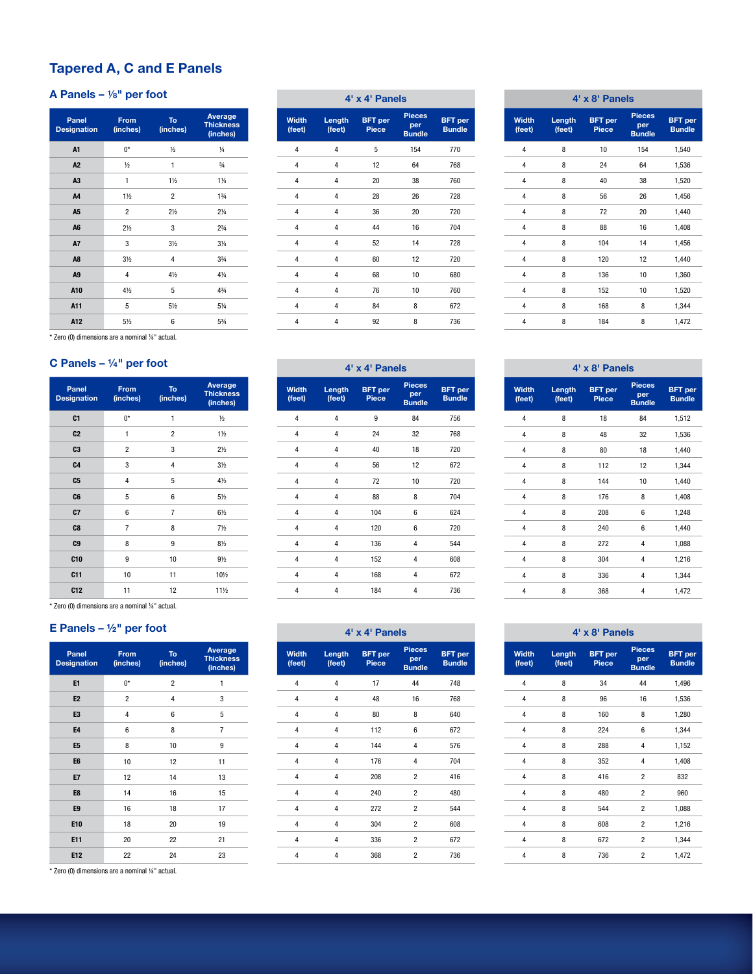# **Tapered A, C and E Panels**

## **A Panels – 1**/**8" per foot**

| Panel<br><b>Designation</b> | From<br>(inches) | <b>To</b><br>(inches) | Average<br><b>Thickness</b><br>(inches) |
|-----------------------------|------------------|-----------------------|-----------------------------------------|
| A <sub>1</sub>              | $0^*$            | $\frac{1}{2}$         | $\frac{1}{4}$                           |
| A <sub>2</sub>              | $\frac{1}{2}$    | 1                     | $\frac{3}{4}$                           |
| A <sub>3</sub>              | 1                | $1\frac{1}{2}$        | $1\frac{1}{4}$                          |
| A <sub>4</sub>              | $1\frac{1}{2}$   | $\overline{c}$        | $1\frac{3}{4}$                          |
| A <sub>5</sub>              | $\overline{c}$   | $2\frac{1}{2}$        | $2\frac{1}{4}$                          |
| A <sub>6</sub>              | $2\frac{1}{2}$   | 3                     | $2^{3}/_{4}$                            |
| <b>A7</b>                   | 3                | $3\frac{1}{2}$        | $3\frac{1}{4}$                          |
| A <sub>8</sub>              | 3 <sub>2</sub>   | 4                     | $3\frac{3}{4}$                          |
| A <sub>9</sub>              | 4                | $4\frac{1}{2}$        | $4\frac{1}{4}$                          |
| A10                         | $4\frac{1}{2}$   | 5                     | 43/4                                    |
| A11                         | 5                | 51/2                  | 51/4                                    |
| A12                         | 51/2             | 6                     | 53/4                                    |

\* Zero (0) dimensions are a nominal 1/8" actual.

## C Panels – 1/4" per foot

| Panel<br><b>Designation</b> | From<br>(inches) | <b>To</b><br>(inches) | Average<br><b>Thickness</b><br>(inches) |
|-----------------------------|------------------|-----------------------|-----------------------------------------|
| C <sub>1</sub>              | $0^*$            | 1                     | $\frac{1}{2}$                           |
| C <sub>2</sub>              | 1                | $\overline{c}$        | $1\frac{1}{2}$                          |
| C3                          | $\overline{2}$   | 3                     | $2\frac{1}{2}$                          |
| C <sub>4</sub>              | 3                | 4                     | $3\frac{1}{2}$                          |
| C <sub>5</sub>              | 4                | 5                     | $4\frac{1}{2}$                          |
| C <sub>6</sub>              | 5                | 6                     | $5\frac{1}{2}$                          |
| C7                          | 6                | 7                     | $6\frac{1}{2}$                          |
| C <sub>8</sub>              | 7                | 8                     | $7\frac{1}{2}$                          |
| C <sub>9</sub>              | 8                | 9                     | $8\frac{1}{2}$                          |
| C10                         | 9                | 10                    | $9\frac{1}{2}$                          |
| C11                         | 10               | 11                    | 101/2                                   |
| C12                         | 11               | 12                    | 111/2                                   |

\* Zero (0) dimensions are a nominal 1⁄8" actual.

#### **E Panels – ½" per foot**

| Panel<br><b>Designation</b> | From<br>(inches) | To<br>(inches) | Average<br><b>Thickness</b><br>(inches) |
|-----------------------------|------------------|----------------|-----------------------------------------|
| E1                          | $0^*$            | $\overline{2}$ | 1                                       |
| E <sub>2</sub>              | $\overline{c}$   | 4              | 3                                       |
| E <sub>3</sub>              | 4                | 6              | 5                                       |
| <b>E4</b>                   | 6                | 8              | 7                                       |
| E <sub>5</sub>              | 8                | 10             | 9                                       |
| E <sub>6</sub>              | 10               | 12             | 11                                      |
| <b>E7</b>                   | 12               | 14             | 13                                      |
| E8                          | 14               | 16             | 15                                      |
| E9                          | 16               | 18             | 17                                      |
| E10                         | 18               | 20             | 19                                      |
| E11                         | 20               | 22             | 21                                      |
| E12                         | 22               | 24             | 23                                      |

\* Zero (0) dimensions are a nominal 1⁄8" actual.

| 4' x 4' Panels         |                  |                                |                                       |                                 |  |
|------------------------|------------------|--------------------------------|---------------------------------------|---------------------------------|--|
| <b>Width</b><br>(feet) | Length<br>(feet) | <b>BFT</b> per<br><b>Piece</b> | <b>Pieces</b><br>per<br><b>Bundle</b> | <b>BFT</b> per<br><b>Bundle</b> |  |
| 4                      | 4                | 5                              | 154                                   | 770                             |  |
| 4                      | 4                | 12                             | 64                                    | 768                             |  |
| 4                      | 4                | 20                             | 38                                    | 760                             |  |
| 4                      | 4                | 28                             | 26                                    | 728                             |  |
| 4                      | 4                | 36                             | 20                                    | 720                             |  |
| 4                      | 4                | 44                             | 16                                    | 704                             |  |
| 4                      | 4                | 52                             | 14                                    | 728                             |  |
| 4                      | 4                | 60                             | 12                                    | 720                             |  |
| 4                      | 4                | 68                             | 10                                    | 680                             |  |
| 4                      | 4                | 76                             | 10                                    | 760                             |  |
| 4                      | 4                | 84                             | 8                                     | 672                             |  |
| 4                      | 4                | 92                             | 8                                     | 736                             |  |

| 4' x 4' Panels          |                         |                                |                                       |                                 |  |
|-------------------------|-------------------------|--------------------------------|---------------------------------------|---------------------------------|--|
| <b>Width</b><br>(feet)  | Length<br>(feet)        | <b>BFT</b> per<br><b>Piece</b> | <b>Pieces</b><br>per<br><b>Bundle</b> | <b>BFT</b> per<br><b>Bundle</b> |  |
| $\overline{\mathbf{4}}$ | 4                       | 9                              | 84                                    | 756                             |  |
| 4                       | 4                       | 24                             | 32                                    | 768                             |  |
| 4                       | 4                       | 40                             | 18                                    | 720                             |  |
| 4                       | 4                       | 56                             | 12                                    | 672                             |  |
| 4                       | 4                       | 72                             | 10                                    | 720                             |  |
| 4                       | 4                       | 88                             | 8                                     | 704                             |  |
| $\overline{\mathbf{4}}$ | $\overline{\mathbf{4}}$ | 104                            | 6                                     | 624                             |  |
| 4                       | 4                       | 120                            | 6                                     | 720                             |  |
| 4                       | 4                       | 136                            | 4                                     | 544                             |  |
| 4                       | 4                       | 152                            | 4                                     | 608                             |  |
| 4                       | 4                       | 168                            | 4                                     | 672                             |  |
| 4                       | 4                       | 184                            | 4                                     | 736                             |  |

|                        | 4' x 8' Panels   |                         |                                       |                                 |  |  |
|------------------------|------------------|-------------------------|---------------------------------------|---------------------------------|--|--|
| <b>Width</b><br>(feet) | Length<br>(feet) | <b>BFT</b> per<br>Piece | <b>Pieces</b><br>per<br><b>Bundle</b> | <b>BFT</b> per<br><b>Bundle</b> |  |  |
| 4                      | 8                | 10                      | 154                                   | 1,540                           |  |  |
| 4                      | 8                | 24                      | 64                                    | 1,536                           |  |  |
| 4                      | 8                | 40                      | 38                                    | 1,520                           |  |  |
| 4                      | 8                | 56                      | 26                                    | 1,456                           |  |  |
| 4                      | 8                | 72                      | 20                                    | 1,440                           |  |  |
| 4                      | 8                | 88                      | 16                                    | 1,408                           |  |  |
| 4                      | 8                | 104                     | 14                                    | 1,456                           |  |  |
| 4                      | 8                | 120                     | 12                                    | 1,440                           |  |  |
| 4                      | 8                | 136                     | 10                                    | 1,360                           |  |  |
| 4                      | 8                | 152                     | 10                                    | 1,520                           |  |  |
| 4                      | 8                | 168                     | 8                                     | 1,344                           |  |  |
| 4                      | 8                | 184                     | 8                                     | 1,472                           |  |  |

|                        | 4' x 8' Panels   |                                |                                       |                                 |  |  |
|------------------------|------------------|--------------------------------|---------------------------------------|---------------------------------|--|--|
| <b>Width</b><br>(feet) | Length<br>(feet) | <b>BFT</b> per<br><b>Piece</b> | <b>Pieces</b><br>per<br><b>Bundle</b> | <b>BFT</b> per<br><b>Bundle</b> |  |  |
| 4                      | 8                | 18                             | 84                                    | 1,512                           |  |  |
| 4                      | 8                | 48                             | 32                                    | 1,536                           |  |  |
| 4                      | 8                | 80                             | 18                                    | 1,440                           |  |  |
| 4                      | 8                | 112                            | 12                                    | 1,344                           |  |  |
| 4                      | 8                | 144                            | 10                                    | 1,440                           |  |  |
| 4                      | 8                | 176                            | 8                                     | 1,408                           |  |  |
| 4                      | 8                | 208                            | 6                                     | 1,248                           |  |  |
| 4                      | 8                | 240                            | 6                                     | 1,440                           |  |  |
| 4                      | 8                | 272                            | 4                                     | 1,088                           |  |  |
| 4                      | 8                | 304                            | 4                                     | 1,216                           |  |  |
| 4                      | 8                | 336                            | 4                                     | 1,344                           |  |  |
| 4                      | 8                | 368                            | 4                                     | 1,472                           |  |  |

| 4' x 4' Panels         |                  |                                |                                       |                                 |  |
|------------------------|------------------|--------------------------------|---------------------------------------|---------------------------------|--|
| <b>Width</b><br>(feet) | Length<br>(feet) | <b>BFT</b> per<br><b>Piece</b> | <b>Pieces</b><br>per<br><b>Bundle</b> | <b>BFT</b> per<br><b>Bundle</b> |  |
| 4                      | 4                | 17                             | 44                                    | 748                             |  |
| 4                      | 4                | 48                             | 16                                    | 768                             |  |
| 4                      | 4                | 80                             | 8                                     | 640                             |  |
| 4                      | 4                | 112                            | 6                                     | 672                             |  |
| 4                      | 4                | 144                            | 4                                     | 576                             |  |
| 4                      | 4                | 176                            | 4                                     | 704                             |  |
| 4                      | 4                | 208                            | $\overline{2}$                        | 416                             |  |
| 4                      | 4                | 240                            | $\overline{c}$                        | 480                             |  |
| 4                      | 4                | 272                            | $\overline{2}$                        | 544                             |  |
| 4                      | 4                | 304                            | $\overline{2}$                        | 608                             |  |
| 4                      | 4                | 336                            | $\overline{c}$                        | 672                             |  |
| 4                      | 4                | 368                            | $\overline{c}$                        | 736                             |  |

| 4' x 8' Panels         |                  |                                                                         |                |                                 |  |  |  |  |
|------------------------|------------------|-------------------------------------------------------------------------|----------------|---------------------------------|--|--|--|--|
| <b>Width</b><br>(feet) | Length<br>(feet) | <b>Pieces</b><br><b>BFT</b> per<br>per<br><b>Piece</b><br><b>Bundle</b> |                | <b>BFT</b> per<br><b>Bundle</b> |  |  |  |  |
| 4                      | 8                | 34                                                                      | 44             | 1,496                           |  |  |  |  |
| 4                      | 8                | 96                                                                      | 16             | 1,536                           |  |  |  |  |
| 4                      | 8                | 160                                                                     | 8              | 1,280                           |  |  |  |  |
| 4                      | 8                | 224                                                                     | 6              | 1,344                           |  |  |  |  |
| 4                      | 8                | 288                                                                     | 4              | 1,152                           |  |  |  |  |
| 4                      | 8                | 352                                                                     | 4              | 1,408                           |  |  |  |  |
| 4                      | 8                | 416                                                                     | $\overline{2}$ | 832                             |  |  |  |  |
| 4                      | 8                | 480                                                                     | $\overline{2}$ | 960                             |  |  |  |  |
| 4                      | 8                | 544                                                                     | $\overline{2}$ | 1,088                           |  |  |  |  |
| 4                      | 8                | 608                                                                     | $\overline{c}$ | 1,216                           |  |  |  |  |
| 4                      | 8                | 672                                                                     | $\overline{2}$ | 1,344                           |  |  |  |  |
| 4                      | 8                | 736                                                                     | $\overline{2}$ | 1,472                           |  |  |  |  |